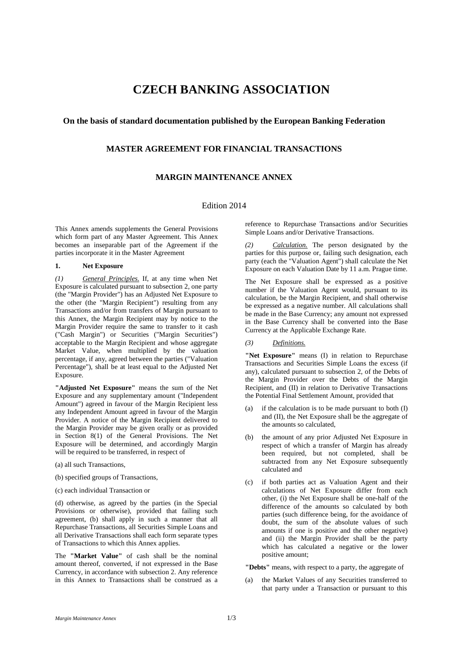# **CZECH BANKING ASSOCIATION**

## **On the basis of standard documentation published by the European Banking Federation**

## **MASTER AGREEMENT FOR FINANCIAL TRANSACTIONS**

# **MARGIN MAINTENANCE ANNEX**

### Edition 2014

This Annex amends supplements the General Provisions which form part of any Master Agreement. This Annex becomes an inseparable part of the Agreement if the parties incorporate it in the Master Agreement

#### **1. Net Exposure**

*(1) General Principles.* If, at any time when Net Exposure is calculated pursuant to subsection 2, one party (the "Margin Provider") has an Adjusted Net Exposure to the other (the "Margin Recipient") resulting from any Transactions and/or from transfers of Margin pursuant to this Annex, the Margin Recipient may by notice to the Margin Provider require the same to transfer to it cash ("Cash Margin") or Securities ("Margin Securities") acceptable to the Margin Recipient and whose aggregate Market Value, when multiplied by the valuation percentage, if any, agreed between the parties ("Valuation Percentage"), shall be at least equal to the Adjusted Net Exposure.

**"Adjusted Net Exposure"** means the sum of the Net Exposure and any supplementary amount ("Independent Amount") agreed in favour of the Margin Recipient less any Independent Amount agreed in favour of the Margin Provider. A notice of the Margin Recipient delivered to the Margin Provider may be given orally or as provided in Section 8(1) of the General Provisions. The Net Exposure will be determined, and accordingly Margin will be required to be transferred, in respect of

- (a) all such Transactions,
- (b) specified groups of Transactions,
- (c) each individual Transaction or

(d) otherwise, as agreed by the parties (in the Special Provisions or otherwise), provided that failing such agreement, (b) shall apply in such a manner that all Repurchase Transactions, all Securities Simple Loans and all Derivative Transactions shall each form separate types of Transactions to which this Annex applies.

The **"Market Value"** of cash shall be the nominal amount thereof, converted, if not expressed in the Base Currency, in accordance with subsection 2. Any reference in this Annex to Transactions shall be construed as a reference to Repurchase Transactions and/or Securities Simple Loans and/or Derivative Transactions.

*(2) Calculation.* The person designated by the parties for this purpose or, failing such designation, each party (each the "Valuation Agent") shall calculate the Net Exposure on each Valuation Date by 11 a.m. Prague time.

The Net Exposure shall be expressed as a positive number if the Valuation Agent would, pursuant to its calculation, be the Margin Recipient, and shall otherwise be expressed as a negative number. All calculations shall be made in the Base Currency; any amount not expressed in the Base Currency shall be converted into the Base Currency at the Applicable Exchange Rate.

#### *(3) Definitions.*

**"Net Exposure"** means (I) in relation to Repurchase Transactions and Securities Simple Loans the excess (if any), calculated pursuant to subsection 2, of the Debts of the Margin Provider over the Debts of the Margin Recipient, and (II) in relation to Derivative Transactions the Potential Final Settlement Amount, provided that

- if the calculation is to be made pursuant to both  $(I)$ and (II), the Net Exposure shall be the aggregate of the amounts so calculated,
- (b) the amount of any prior Adjusted Net Exposure in respect of which a transfer of Margin has already been required, but not completed, shall be subtracted from any Net Exposure subsequently calculated and
- (c) if both parties act as Valuation Agent and their calculations of Net Exposure differ from each other, (i) the Net Exposure shall be one-half of the difference of the amounts so calculated by both parties (such difference being, for the avoidance of doubt, the sum of the absolute values of such amounts if one is positive and the other negative) and (ii) the Margin Provider shall be the party which has calculated a negative or the lower positive amount;

**"Debts"** means, with respect to a party, the aggregate of

(a) the Market Values of any Securities transferred to that party under a Transaction or pursuant to this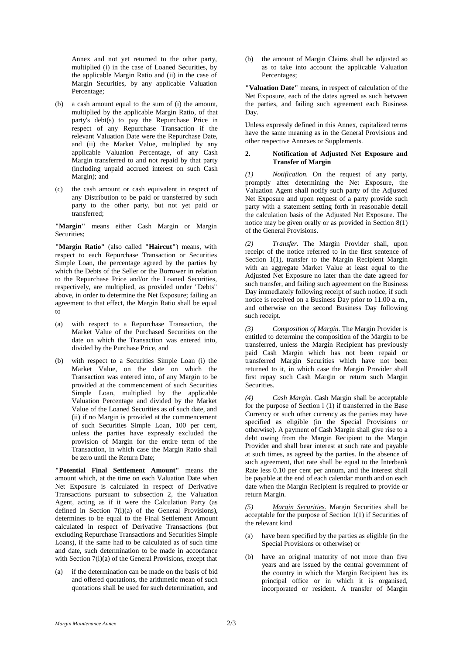Annex and not yet returned to the other party, multiplied (i) in the case of Loaned Securities, by the applicable Margin Ratio and (ii) in the case of Margin Securities, by any applicable Valuation Percentage;

- (b) a cash amount equal to the sum of (i) the amount, multiplied by the applicable Margin Ratio, of that party's debt(s) to pay the Repurchase Price in respect of any Repurchase Transaction if the relevant Valuation Date were the Repurchase Date, and (ii) the Market Value, multiplied by any applicable Valuation Percentage, of any Cash Margin transferred to and not repaid by that party (including unpaid accrued interest on such Cash Margin); and
- (c) the cash amount or cash equivalent in respect of any Distribution to be paid or transferred by such party to the other party, but not yet paid or transferred;

**"Margin"** means either Cash Margin or Margin Securities;

**"Margin Ratio"** (also called **"Haircut"**) means, with respect to each Repurchase Transaction or Securities Simple Loan, the percentage agreed by the parties by which the Debts of the Seller or the Borrower in relation to the Repurchase Price and/or the Loaned Securities, respectively, are multiplied, as provided under "Debts" above, in order to determine the Net Exposure; failing an agreement to that effect, the Margin Ratio shall be equal to

- (a) with respect to a Repurchase Transaction, the Market Value of the Purchased Securities on the date on which the Transaction was entered into, divided by the Purchase Price, and
- (b) with respect to a Securities Simple Loan (i) the Market Value, on the date on which the Transaction was entered into, of any Margin to be provided at the commencement of such Securities Simple Loan, multiplied by the applicable Valuation Percentage and divided by the Market Value of the Loaned Securities as of such date, and (ii) if no Margin is provided at the commencement of such Securities Simple Loan, 100 per cent, unless the parties have expressly excluded the provision of Margin for the entire term of the Transaction, in which case the Margin Ratio shall be zero until the Return Date;

**"Potential Final Settlement Amount"** means the amount which, at the time on each Valuation Date when Net Exposure is calculated in respect of Derivative Transactions pursuant to subsection 2, the Valuation Agent, acting as if it were the Calculation Party (as defined in Section 7(l)(a) of the General Provisions), determines to be equal to the Final Settlement Amount calculated in respect of Derivative Transactions (but excluding Repurchase Transactions and Securities Simple Loans), if the same had to be calculated as of such time and date, such determination to be made in accordance with Section 7(l)(a) of the General Provisions, except that

(a) if the determination can be made on the basis of bid and offered quotations, the arithmetic mean of such quotations shall be used for such determination, and

(b) the amount of Margin Claims shall be adjusted so as to take into account the applicable Valuation Percentages;

**"Valuation Date"** means, in respect of calculation of the Net Exposure, each of the dates agreed as such between the parties, and failing such agreement each Business Day.

Unless expressly defined in this Annex, capitalized terms have the same meaning as in the General Provisions and other respective Annexes or Supplements.

#### **2. Notification of Adjusted Net Exposure and Transfer of Margin**

*(1) Notification.* On the request of any party, promptly after determining the Net Exposure, the Valuation Agent shall notify such party of the Adjusted Net Exposure and upon request of a party provide such party with a statement setting forth in reasonable detail the calculation basis of the Adjusted Net Exposure. The notice may be given orally or as provided in Section 8(1) of the General Provisions.

*(2) Transfer.* The Margin Provider shall, upon receipt of the notice referred to in the first sentence of Section 1(1), transfer to the Margin Recipient Margin with an aggregate Market Value at least equal to the Adjusted Net Exposure no later than the date agreed for such transfer, and failing such agreement on the Business Day immediately following receipt of such notice, if such notice is received on a Business Day prior to 11.00 a. m., and otherwise on the second Business Day following such receipt.

*(3) Composition of Margin.* The Margin Provider is entitled to determine the composition of the Margin to be transferred, unless the Margin Recipient has previously paid Cash Margin which has not been repaid or transferred Margin Securities which have not been returned to it, in which case the Margin Provider shall first repay such Cash Margin or return such Margin Securities.

*(4) Cash Margin.* Cash Margin shall be acceptable for the purpose of Section l (1) if transferred in the Base Currency or such other currency as the parties may have specified as eligible (in the Special Provisions or otherwise). A payment of Cash Margin shall give rise to a debt owing from the Margin Recipient to the Margin Provider and shall bear interest at such rate and payable at such times, as agreed by the parties. In the absence of such agreement, that rate shall be equal to the Interbank Rate less 0.10 per cent per annum, and the interest shall be payable at the end of each calendar month and on each date when the Margin Recipient is required to provide or return Margin.

*Margin Securities.* Margin Securities shall be acceptable for the purpose of Section 1(1) if Securities of the relevant kind

- (a) have been specified by the parties as eligible (in the Special Provisions or otherwise) or
- have an original maturity of not more than five years and are issued by the central government of the country in which the Margin Recipient has its principal office or in which it is organised, incorporated or resident. A transfer of Margin